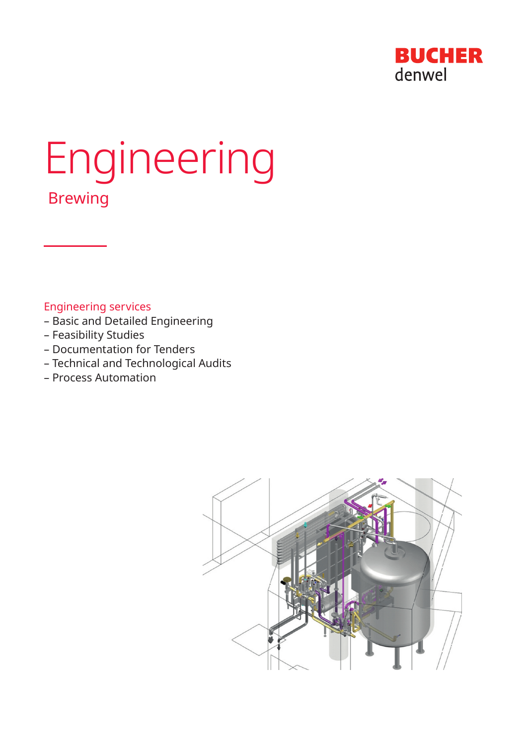

# Engineering Brewing

Engineering services

- Basic and Detailed Engineering
- Feasibility Studies
- Documentation for Tenders
- Technical and Technological Audits
- Process Automation